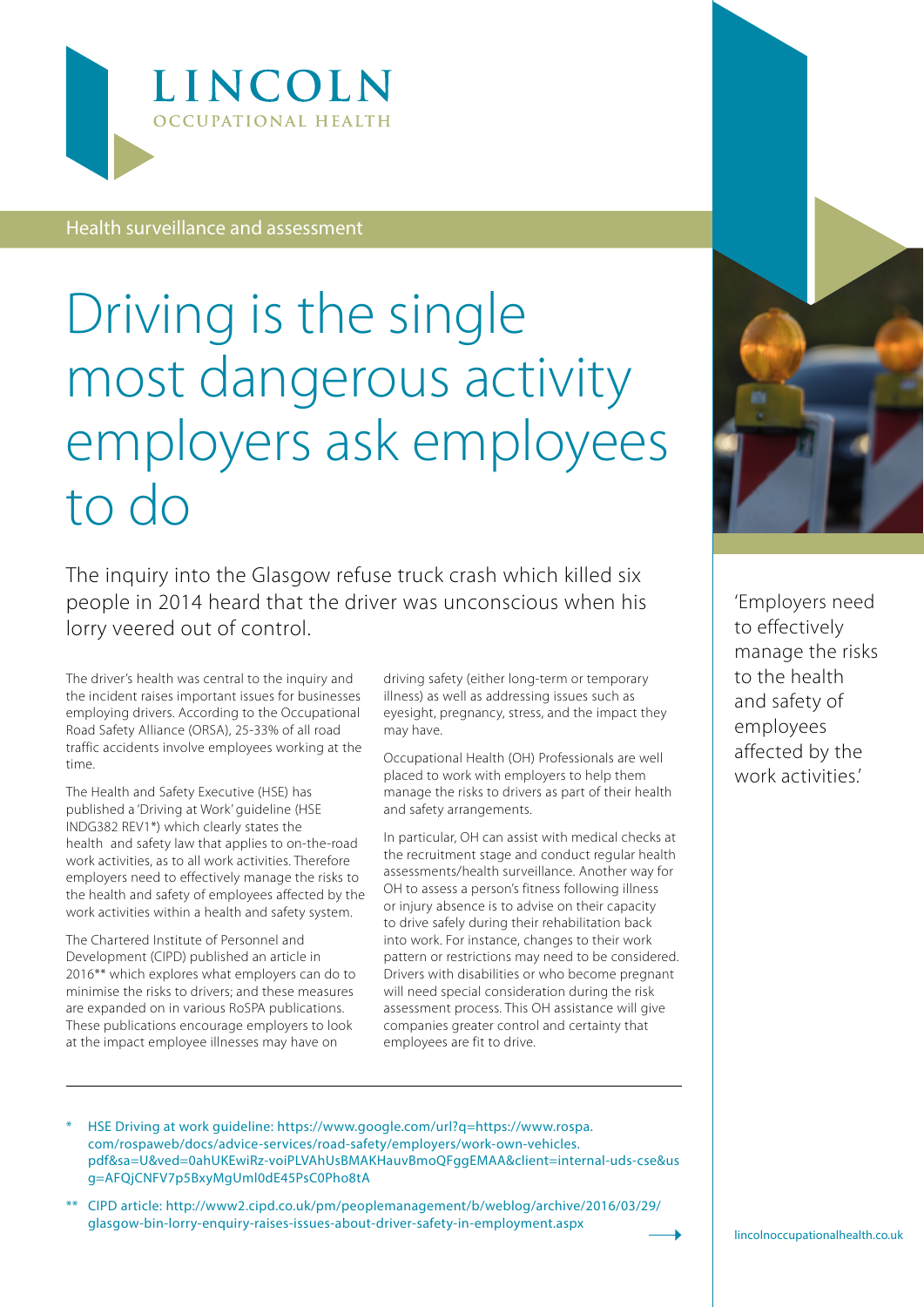

Health surveillance and assessment

## Driving is the single most dangerous activity employers ask employees to do

The inquiry into the Glasgow refuse truck crash which killed six people in 2014 heard that the driver was unconscious when his lorry veered out of control.

The driver's health was central to the inquiry and the incident raises important issues for businesses employing drivers. According to the Occupational Road Safety Alliance (ORSA), 25-33% of all road traffic accidents involve employees working at the time.

The Health and Safety Executive (HSE) has published a 'Driving at Work' guideline (HSE INDG382 REV1\*) which clearly states the health and safety law that applies to on-the-road work activities, as to all work activities. Therefore employers need to effectively manage the risks to the health and safety of employees affected by the work activities within a health and safety system.

The Chartered Institute of Personnel and Development (CIPD) published an article in 2016\*\* which explores what employers can do to minimise the risks to drivers; and these measures are expanded on in various RoSPA publications. These publications encourage employers to look at the impact employee illnesses may have on

driving safety (either long-term or temporary illness) as well as addressing issues such as eyesight, pregnancy, stress, and the impact they may have.

Occupational Health (OH) Professionals are well placed to work with employers to help them manage the risks to drivers as part of their health and safety arrangements.

In particular, OH can assist with medical checks at the recruitment stage and conduct regular health assessments/health surveillance. Another way for OH to assess a person's fitness following illness or injury absence is to advise on their capacity to drive safely during their rehabilitation back into work. For instance, changes to their work pattern or restrictions may need to be considered. Drivers with disabilities or who become pregnant will need special consideration during the risk assessment process. This OH assistance will give companies greater control and certainty that employees are fit to drive.



'Employers need to effectively manage the risks to the health and safety of employees affected by the work activities'

- \* HSE Driving at work guideline: [https://www.google.com/url?q=https://www.rospa.](https://www.google.com/url?q=https://www.rospa.com/rospaweb/docs/advice-services/road-safety/employers/work-own-vehicles.pdf&sa=U&ved=0ahUKEwiRz-voiPLVAhUsBMAKHauvBmoQFggEMAA&client=internal-uds-cse&usg=AFQjCNFV7p5BxyMgUml0dE45PsC0Pho8tA) [com/rospaweb/docs/advice-services/road-safety/employers/work-own-vehicles.](https://www.google.com/url?q=https://www.rospa.com/rospaweb/docs/advice-services/road-safety/employers/work-own-vehicles.pdf&sa=U&ved=0ahUKEwiRz-voiPLVAhUsBMAKHauvBmoQFggEMAA&client=internal-uds-cse&usg=AFQjCNFV7p5BxyMgUml0dE45PsC0Pho8tA) [pdf&sa=U&ved=0ahUKEwiRz-voiPLVAhUsBMAKHauvBmoQFggEMAA&client=internal-uds-cse&us](https://www.google.com/url?q=https://www.rospa.com/rospaweb/docs/advice-services/road-safety/employers/work-own-vehicles.pdf&sa=U&ved=0ahUKEwiRz-voiPLVAhUsBMAKHauvBmoQFggEMAA&client=internal-uds-cse&usg=AFQjCNFV7p5BxyMgUml0dE45PsC0Pho8tA) [g=AFQjCNFV7p5BxyMgUml0dE45PsC0Pho8tA](https://www.google.com/url?q=https://www.rospa.com/rospaweb/docs/advice-services/road-safety/employers/work-own-vehicles.pdf&sa=U&ved=0ahUKEwiRz-voiPLVAhUsBMAKHauvBmoQFggEMAA&client=internal-uds-cse&usg=AFQjCNFV7p5BxyMgUml0dE45PsC0Pho8tA)
- \*\* CIPD article: [http://www2.cipd.co.uk/pm/peoplemanagement/b/weblog/archive/2016/03/29/](http://www2.cipd.co.uk/pm/peoplemanagement/b/weblog/archive/2016/03/29/glasgow-bin-lorry-enquiry-ra) [glasgow-bin-lorry-enquiry-raises-issues-about-driver-safety-in-employment.aspx](http://www2.cipd.co.uk/pm/peoplemanagement/b/weblog/archive/2016/03/29/glasgow-bin-lorry-enquiry-ra)